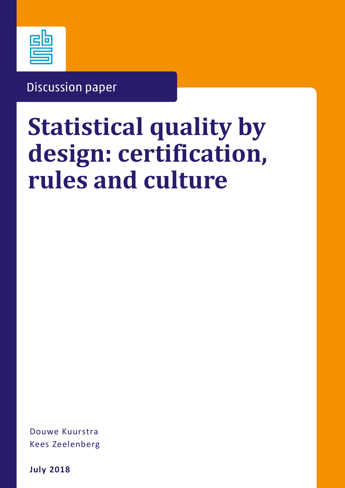

# **Discussion paper**

# **Statistical quality by design: certification, rules and culture**

Douwe Kuurstra Kees Zeelenberg

**July 2018**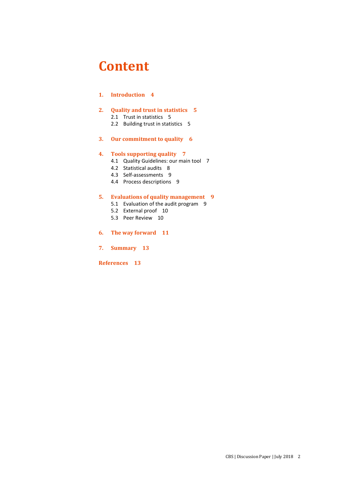### **Content**

### **1. Introduction 4**

### **2. Quality and trust in statistics 5**

2.1 Trust in statistics 5

2.2 Building trust in statistics 5

### **3. Our commitment to quality 6**

### **4. Tools supporting quality 7**

- 4.1 Quality Guidelines: our main tool 7
- 4.2 Statistical audits 8
- 4.3 Self-assessments 9
- 4.4 Process descriptions 9

### **5. Evaluations of quality management 9**

- 5.1 Evaluation of the audit program 9
- 5.2 External proof 10
- 5.3 Peer Review 10
- **6. The way forward 11**
- **7. Summary 13**

**References 13**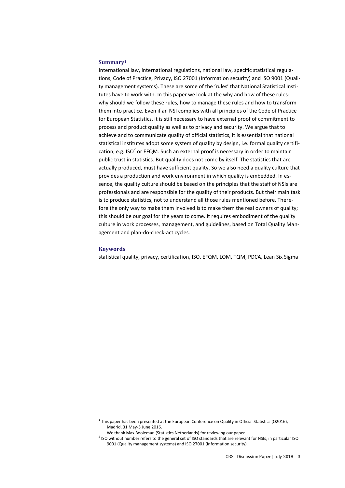#### **Summary<sup>1</sup>**

International law, international regulations, national law, specific statistical regulations, Code of Practice, Privacy, ISO 27001 (Information security) and ISO 9001 (Quality management systems). These are some of the 'rules' that National Statistical Institutes have to work with. In this paper we look at the why and how of these rules: why should we follow these rules, how to manage these rules and how to transform them into practice. Even if an NSI complies with all principles of the Code of Practice for European Statistics, it is still necessary to have external proof of commitment to process and product quality as well as to privacy and security. We argue that to achieve and to communicate quality of official statistics, it is essential that national statistical institutes adopt some system of quality by design, i.e. formal quality certification, e.g. ISO<sup>2</sup> or EFQM. Such an external proof is necessary in order to maintain public trust in statistics. But quality does not come by itself. The statistics that are actually produced, must have sufficient quality. So we also need a quality culture that provides a production and work environment in which quality is embedded. In essence, the quality culture should be based on the principles that the staff of NSIs are professionals and are responsible for the quality of their products. But their main task is to produce statistics, not to understand all those rules mentioned before. Therefore the only way to make them involved is to make them the real owners of quality; this should be our goal for the years to come. It requires embodiment of the quality culture in work processes, management, and guidelines, based on Total Quality Management and plan-do-check-act cycles.

#### **Keywords**

statistical quality, privacy, certification, ISO, EFQM, LOM, TQM, PDCA, Lean Six Sigma

 $1$  This paper has been presented at the European Conference on Quality in Official Statistics (Q2016), Madrid, 31 May-3 June 2016.

We thank Max Booleman (Statistics Netherlands) for reviewing our paper.

 $<sup>2</sup>$  ISO without number refers to the general set of ISO standards that are relevant for NSIs, in particular ISO</sup> 9001 (Quality management systems) and ISO 27001 (Information security).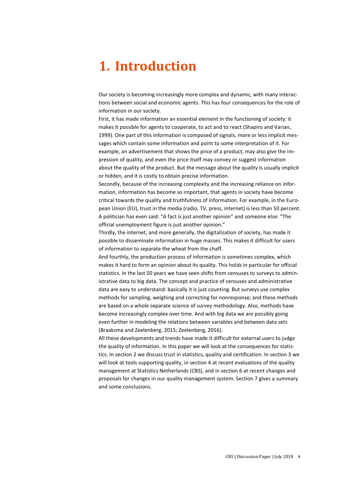### **1. Introduction**

Our society is becoming increasingly more complex and dynamic, with many interactions between social and economic agents. This has four consequences for the role of information in our society.

First, it has made information an essential element in the functioning of society: it makes it possible for agents to cooperate, to act and to react (Shapiro and Varian, 1999). One part of this information is composed of signals, more or less implicit messages which contain some information and point to some interpretation of it. For example, an advertisement that shows the price of a product, may also give the impression of quality, and even the price itself may convey or suggest information about the quality of the product. But the message about the quality is usually implicit or hidden, and it is costly to obtain precise information.

Secondly, because of the increasing complexity and the increasing reliance on information, information has become so important, that agents in society have become critical towards the quality and truthfulness of information. For example, in the European Union (EU), trust in the media (radio, TV, press, internet) is less than 50 percent. A politician has even said: "A fact is just another opinion" and someone else: "The official unemployment figure is just another opinion."

Thirdly, the internet, and more generally, the digitalization of society, has made it possible to disseminate information in huge masses. This makes it difficult for users of information to separate the wheat from the chaff.

And fourthly, the production process of information is sometimes complex, which makes it hard to form an opinion about its quality. This holds in particular for official statistics. In the last 50 years we have seen shifts from censuses to surveys to administrative data to big data. The concept and practice of censuses and administrative data are easy to understand: basically it is just counting. But surveys use complex methods for sampling, weighing and correcting for nonresponse; and these methods are based on a whole separate science of survey methodology. Also, methods have become increasingly complex over time. And with big data we are possibly going even further in modeling the relations between variables and between data sets (Braaksma and Zeelenberg, 2015; Zeelenberg, 2016).

All these developments and trends have made it difficult for external users to judge the quality of information. In this paper we will look at the consequences for statistics. In section 2 we discuss trust in statistics, quality and certification. In section 3 we will look at tools supporting quality, in section 4 at recent evaluations of the quality management at Statistics Netherlands (CBS), and in section 6 at recent changes and proposals for changes in our quality management system. Section 7 gives a summary and some conclusions.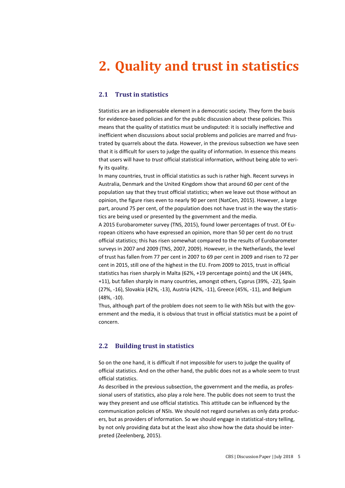# **2. Quality and trust in statistics**

### **2.1 Trust in statistics**

Statistics are an indispensable element in a democratic society. They form the basis for evidence-based policies and for the public discussion about these policies. This means that the quality of statistics must be undisputed: it is socially ineffective and inefficient when discussions about social problems and policies are marred and frustrated by quarrels about the data. However, in the previous subsection we have seen that it is difficult for users to judge the quality of information. In essence this means that users will have to *trust* official statistical information, without being able to verify its quality.

In many countries, trust in official statistics as such is rather high. Recent surveys in Australia, Denmark and the United Kingdom show that around 60 per cent of the population say that they trust official statistics; when we leave out those without an opinion, the figure rises even to nearly 90 per cent (NatCen, 2015). However, a large part, around 75 per cent, of the population does not have trust in the way the statistics are being used or presented by the government and the media.

A 2015 Eurobarometer survey (TNS, 2015), found lower percentages of trust. Of European citizens who have expressed an opinion, more than 50 per cent do no trust official statistics; this has risen somewhat compared to the results of Eurobarometer surveys in 2007 and 2009 (TNS, 2007, 2009). However, in the Netherlands, the level of trust has fallen from 77 per cent in 2007 to 69 per cent in 2009 and risen to 72 per cent in 2015, still one of the highest in the EU. From 2009 to 2015, trust in official statistics has risen sharply in Malta (62%, +19 percentage points) and the UK (44%, +11), but fallen sharply in many countries, amongst others, Cyprus (39%, -22), Spain (27%, -16), Slovakia (42%, -13), Austria (42%, -11), Greece (45%, -11), and Belgium (48%, -10).

Thus, although part of the problem does not seem to lie with NSIs but with the government and the media, it is obvious that trust in official statistics must be a point of concern.

### **2.2 Building trust in statistics**

So on the one hand, it is difficult if not impossible for users to judge the quality of official statistics. And on the other hand, the public does not as a whole seem to trust official statistics.

As described in the previous subsection, the government and the media, as professional users of statistics, also play a role here. The public does not seem to trust the way they present and use official statistics. This attitude can be influenced by the communication policies of NSIs. We should not regard ourselves as only data producers, but as providers of information. So we should engage in statistical-story telling, by not only providing data but at the least also show how the data should be interpreted (Zeelenberg, 2015).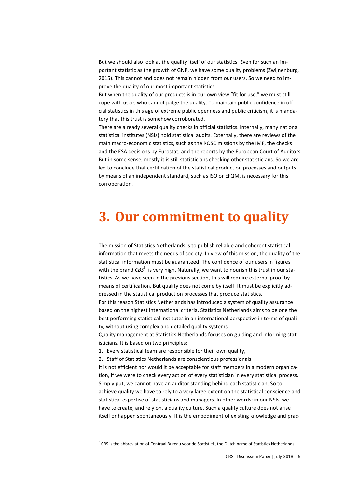But we should also look at the quality itself of our statistics. Even for such an important statistic as the growth of GNP, we have some quality problems (Zwijnenburg, 2015). This cannot and does not remain hidden from our users. So we need to improve the quality of our most important statistics.

But when the quality of our products is in our own view "fit for use," we must still cope with users who cannot judge the quality. To maintain public confidence in official statistics in this age of extreme public openness and public criticism, it is mandatory that this trust is somehow corroborated.

There are already several quality checks in official statistics. Internally, many national statistical institutes (NSIs) hold statistical audits. Externally, there are reviews of the main macro-economic statistics, such as the ROSC missions by the IMF, the checks and the ESA decisions by Eurostat, and the reports by the European Court of Auditors. But in some sense, mostly it is still statisticians checking other statisticians. So we are led to conclude that certification of the statistical production processes and outputs by means of an independent standard, such as ISO or EFQM, is necessary for this corroboration.

### **3. Our commitment to quality**

The mission of Statistics Netherlands is to publish reliable and coherent statistical information that meets the needs of society. In view of this mission, the quality of the statistical information must be guaranteed. The confidence of our users in figures with the brand *CBS*<sup>3</sup> is very high. Naturally, we want to nourish this trust in our statistics. As we have seen in the previous section, this will require external proof by means of certification. But quality does not come by itself. It must be explicitly addressed in the statistical production processes that produce statistics.

For this reason Statistics Netherlands has introduced a system of quality assurance based on the highest international criteria. Statistics Netherlands aims to be one the best performing statistical institutes in an international perspective in terms of quality, without using complex and detailed quality systems.

Quality management at Statistics Netherlands focuses on guiding and informing statisticians. It is based on two principles:

1. Every statistical team are responsible for their own quality,

2. Staff of Statistics Netherlands are conscientious professionals.

It is not efficient nor would it be acceptable for staff members in a modern organization, if we were to check every action of every statistician in every statistical process. Simply put, we cannot have an auditor standing behind each statistician. So to achieve quality we have to rely to a very large extent on the statistical conscience and statistical expertise of statisticians and managers. In other words: in our NSIs, we have to create, and rely on, a quality culture. Such a quality culture does not arise itself or happen spontaneously. It is the embodiment of existing knowledge and prac-

 $3$  CBS is the abbreviation of Centraal Bureau voor de Statistiek, the Dutch name of Statistics Netherlands.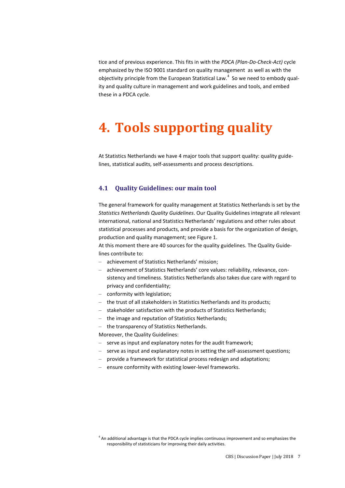tice and of previous experience. This fits in with the *PDCA (Plan-Do-Check-Act)* cycle emphasized by the ISO 9001 standard on quality management as well as with the objectivity principle from the European Statistical Law. $^4$  So we need to embody quality and quality culture in management and work guidelines and tools, and embed these in a PDCA cycle.

# **4. Tools supporting quality**

At Statistics Netherlands we have 4 major tools that support quality: quality guidelines, statistical audits, self-assessments and process descriptions.

### **4.1 Quality Guidelines: our main tool**

The general framework for quality management at Statistics Netherlands is set by the *Statistics Netherlands Quality Guidelines*. Our Quality Guidelines integrate all relevant international, national and Statistics Netherlands' regulations and other rules about statistical processes and products, and provide a basis for the organization of design, production and quality management; see Figure 1.

At this moment there are 40 sources for the quality guidelines. The Quality Guidelines contribute to:

- achievement of Statistics Netherlands' mission;
- achievement of Statistics Netherlands' core values: reliability, relevance, consistency and timeliness. Statistics Netherlands also takes due care with regard to privacy and confidentiality;
- conformity with legislation;
- the trust of all stakeholders in Statistics Netherlands and its products;
- stakeholder satisfaction with the products of Statistics Netherlands;
- the image and reputation of Statistics Netherlands;
- the transparency of Statistics Netherlands.

Moreover, the Quality Guidelines:

- serve as input and explanatory notes for the audit framework;
- serve as input and explanatory notes in setting the self-assessment questions;
- provide a framework for statistical process redesign and adaptations;
- ensure conformity with existing lower-level frameworks.

 $<sup>4</sup>$  An additional advantage is that the PDCA cycle implies continuous improvement and so emphasizes the</sup> responsibility of statisticians for improving their daily activities.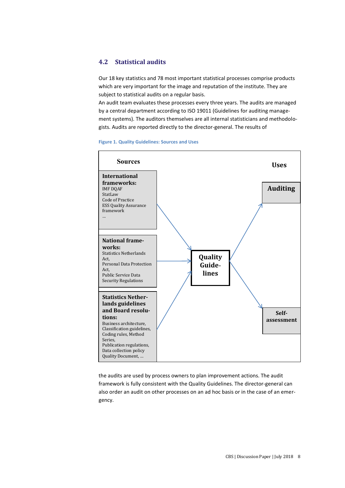### **4.2 Statistical audits**

Our 18 key statistics and 78 most important statistical processes comprise products which are very important for the image and reputation of the institute. They are subject to statistical audits on a regular basis.

An audit team evaluates these processes every three years. The audits are managed by a central department according to ISO 19011 (Guidelines for auditing management systems). The auditors themselves are all internal statisticians and methodologists. Audits are reported directly to the director-general. The results of



#### **Figure 1. Quality Guidelines: Sources and Uses**

the audits are used by process owners to plan improvement actions. The audit framework is fully consistent with the Quality Guidelines. The director-general can also order an audit on other processes on an ad hoc basis or in the case of an emergency.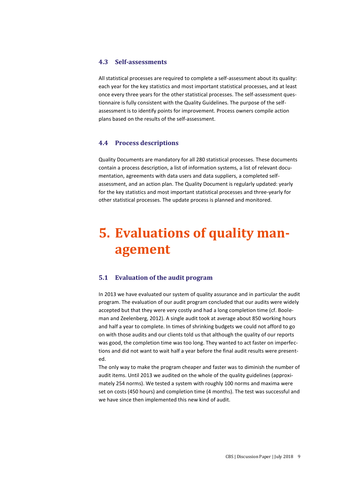### **4.3 Self-assessments**

All statistical processes are required to complete a self-assessment about its quality: each year for the key statistics and most important statistical processes, and at least once every three years for the other statistical processes. The self-assessment questionnaire is fully consistent with the Quality Guidelines. The purpose of the selfassessment is to identify points for improvement. Process owners compile action plans based on the results of the self-assessment.

### **4.4 Process descriptions**

Quality Documents are mandatory for all 280 statistical processes. These documents contain a process description, a list of information systems, a list of relevant documentation, agreements with data users and data suppliers, a completed selfassessment, and an action plan. The Quality Document is regularly updated: yearly for the key statistics and most important statistical processes and three-yearly for other statistical processes. The update process is planned and monitored.

# **5. Evaluations of quality management**

### **5.1 Evaluation of the audit program**

In 2013 we have evaluated our system of quality assurance and in particular the audit program. The evaluation of our audit program concluded that our audits were widely accepted but that they were very costly and had a long completion time (cf. Booleman and Zeelenberg, 2012). A single audit took at average about 850 working hours and half a year to complete. In times of shrinking budgets we could not afford to go on with those audits and our clients told us that although the quality of our reports was good, the completion time was too long. They wanted to act faster on imperfections and did not want to wait half a year before the final audit results were presented.

The only way to make the program cheaper and faster was to diminish the number of audit items. Until 2013 we audited on the whole of the quality guidelines (approximately 254 norms). We tested a system with roughly 100 norms and maxima were set on costs (450 hours) and completion time (4 months). The test was successful and we have since then implemented this new kind of audit.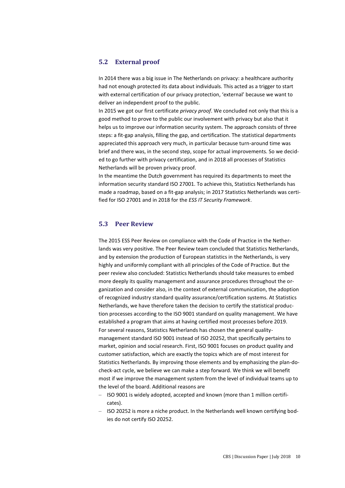### **5.2 External proof**

In 2014 there was a big issue in The Netherlands on privacy: a healthcare authority had not enough protected its data about individuals. This acted as a trigger to start with external certification of our privacy protection, 'external' because we want to deliver an independent proof to the public.

In 2015 we got our first certificate *privacy proof*. We concluded not only that this is a good method to prove to the public our involvement with privacy but also that it helps us to improve our information security system. The approach consists of three steps: a fit-gap analysis, filling the gap, and certification. The statistical departments appreciated this approach very much, in particular because turn-around time was brief and there was, in the second step, scope for actual improvements. So we decided to go further with privacy certification, and in 2018 all processes of Statistics Netherlands will be proven privacy proof.

In the meantime the Dutch government has required its departments to meet the information security standard ISO 27001. To achieve this, Statistics Netherlands has made a roadmap, based on a fit-gap analysis; in 2017 Statistics Netherlands was certified for ISO 27001 and in 2018 for the *ESS IT Security Framework*.

### **5.3 Peer Review**

The 2015 ESS Peer Review on compliance with the Code of Practice in the Netherlands was very positive. The Peer Review team concluded that Statistics Netherlands, and by extension the production of European statistics in the Netherlands, is very highly and uniformly compliant with all principles of the Code of Practice. But the peer review also concluded: Statistics Netherlands should take measures to embed more deeply its quality management and assurance procedures throughout the organization and consider also, in the context of external communication, the adoption of recognized industry standard quality assurance/certification systems. At Statistics Netherlands, we have therefore taken the decision to certify the statistical production processes according to the ISO 9001 standard on quality management. We have established a program that aims at having certified most processes before 2019. For several reasons, Statistics Netherlands has chosen the general qualitymanagement standard ISO 9001 instead of ISO 20252, that specifically pertains to market, opinion and social research. First, ISO 9001 focuses on product quality and customer satisfaction, which are exactly the topics which are of most interest for Statistics Netherlands. By improving those elements and by emphasizing the plan-docheck-act cycle, we believe we can make a step forward. We think we will benefit most if we improve the management system from the level of individual teams up to the level of the board. Additional reasons are

- ISO 9001 is widely adopted, accepted and known (more than 1 million certificates).
- ISO 20252 is more a niche product. In the Netherlands well known certifying bodies do not certify ISO 20252.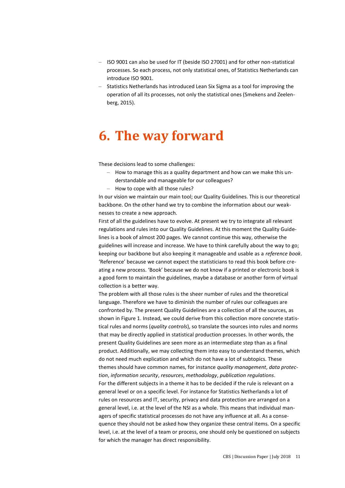- ISO 9001 can also be used for IT (beside ISO 27001) and for other non-statistical processes. So each process, not only statistical ones, of Statistics Netherlands can introduce ISO 9001.
- Statistics Netherlands has introduced Lean Six Sigma as a tool for improving the operation of all its processes, not only the statistical ones (Smekens and Zeelenberg, 2015).

# **6. The way forward**

These decisions lead to some challenges:

- How to manage this as a quality department and how can we make this understandable and manageable for our colleagues?
- How to cope with all those rules?

In our vision we maintain our main tool; our Quality Guidelines. This is our theoretical backbone. On the other hand we try to combine the information about our weaknesses to create a new approach.

First of all the guidelines have to evolve. At present we try to integrate all relevant regulations and rules into our Quality Guidelines. At this moment the Quality Guidelines is a book of almost 200 pages. We cannot continue this way, otherwise the guidelines will increase and increase. We have to think carefully about the way to go; keeping our backbone but also keeping it manageable and usable as a *reference book*. 'Reference' because we cannot expect the statisticians to read this book before creating a new process. 'Book' because we do not know if a printed or electronic book is a good form to maintain the guidelines, maybe a database or another form of virtual collection is a better way.

The problem with all those rules is the sheer number of rules and the theoretical language. Therefore we have to diminish the number of rules our colleagues are confronted by. The present Quality Guidelines are a collection of all the sources, as shown in Figure 1. Instead, we could derive from this collection more concrete statistical rules and norms (*quality controls*), so translate the sources into rules and norms that may be directly applied in statistical production processes. In other words, the present Quality Guidelines are seen more as an intermediate step than as a final product. Additionally, we may collecting them into easy to understand themes, which do not need much explication and which do not have a lot of subtopics. These themes should have common names, for instance *quality management*, *data protection*, *information security*, *resources*, *methodology*, *publication regulations*. For the different subjects in a theme it has to be decided if the rule is relevant on a general level or on a specific level. For instance for Statistics Netherlands a lot of rules on resources and IT, security, privacy and data protection are arranged on a general level, i.e. at the level of the NSI as a whole. This means that individual managers of specific statistical processes do not have any influence at all. As a consequence they should not be asked how they organize these central items. On a specific level, i.e. at the level of a team or process, one should only be questioned on subjects for which the manager has direct responsibility.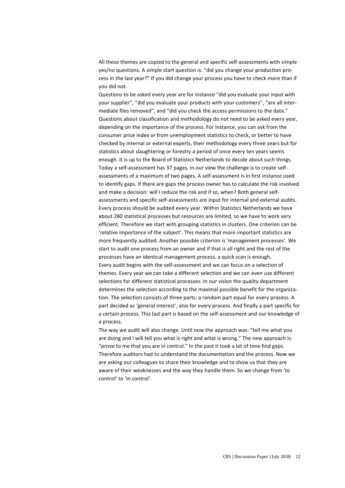All these themes are copied to the general and specific self-assessments with simple yes/no questions. A simple start question is: "did you change your production process in the last year?" If you did change your process you have to check more than if you did not.

Questions to be asked every year are for instance "did you evaluate your input with your supplier", "did you evaluate your products with your customers", "are all intermediate files removed", and "did you check the access permissions to the data." Questions about classification and methodology do not need to be asked every year, depending on the importance of the process. For instance, you can ask from the consumer price index or from unemployment statistics to check, or better to have checked by internal or external experts, their methodology every three years but for statistics about slaughtering or forestry a period of once every ten years seems enough. It is up to the Board of Statistics Netherlands to decide about such things. Today a self-assessment has 37 pages, in our view the challenge is to create selfassessments of a maximum of two pages. A self-assessment is in first instance used to identify gaps. If there are gaps the process owner has to calculate the risk involved and make a decision: will I reduce the risk and if so, when? Both general selfassessments and specific self-assessments are input for internal and external audits. Every process should be audited every year. Within Statistics Netherlands we have about 280 statistical processes but resources are limited, so we have to work very efficient. Therefore we start with grouping statistics in clusters. One criterion can be 'relative importance of the subject'. This means that more important statistics are more frequently audited. Another possible criterion is 'management processes'. We start to audit one process from an owner and if that is all right and the rest of the processes have an identical management process, a quick scan is enough. Every audit begins with the self-assessment and we can focus on a selection of themes. Every year we can take a different selection and we can even use different selections for different statistical processes. In our vision the quality department determines the selection according to the maximal possible benefit for the organization. The selection consists of three parts: a random part equal for every process. A part decided as 'general interest', also for every process. And finally a part specific for a certain process. This last part is based on the self-assessment and our knowledge of a process.

The way we audit will also change. Until now the approach was: "tell me what you are doing and I will tell you what is right and what is wrong." The new approach is: "prove to me that you are in control." In the past it took a lot of time find gaps. Therefore auditors had to understand the documentation and the process. Now we are asking our colleagues to share their knowledge and to show us that they are aware of their weaknesses and the way they handle them. So we change from 'to control' to 'in control'.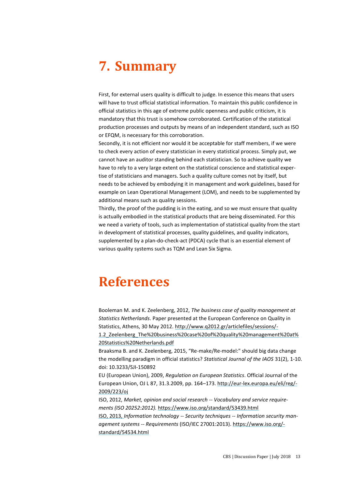# **7. Summary**

First, for external users quality is difficult to judge. In essence this means that users will have to trust official statistical information. To maintain this public confidence in official statistics in this age of extreme public openness and public criticism, it is mandatory that this trust is somehow corroborated. Certification of the statistical production processes and outputs by means of an independent standard, such as ISO or EFQM, is necessary for this corroboration.

Secondly, it is not efficient nor would it be acceptable for staff members, if we were to check every action of every statistician in every statistical process. Simply put, we cannot have an auditor standing behind each statistician. So to achieve quality we have to rely to a very large extent on the statistical conscience and statistical expertise of statisticians and managers. Such a quality culture comes not by itself, but needs to be achieved by embodying it in management and work guidelines, based for example on Lean Operational Management (LOM), and needs to be supplemented by additional means such as quality sessions.

Thirdly, the proof of the pudding is in the eating, and so we must ensure that quality is actually embodied in the statistical products that are being disseminated. For this we need a variety of tools, such as implementation of statistical quality from the start in development of statistical processes, quality guidelines, and quality indicators, supplemented by a plan-do-check-act (PDCA) cycle that is an essential element of various quality systems such as TQM and Lean Six Sigma.

# **References**

Booleman M. and K. Zeelenberg, 2012, *The business case of quality management at Statistics Netherlands*. Paper presented at the European Conference on Quality in Statistics, Athens, 30 May 2012. [http://www.q2012.gr/articlefiles/sessions/-](http://www.q2012.gr/articlefiles/sessions/1.2_Zeelenberg_The%20business%20case%20of%20quality%20management%20at%20Statistics%20Netherlands.pdf) [1.2\\_Zeelenberg\\_The%20business%20case%20of%20quality%20management%20at%](http://www.q2012.gr/articlefiles/sessions/1.2_Zeelenberg_The%20business%20case%20of%20quality%20management%20at%20Statistics%20Netherlands.pdf) [20Statistics%20Netherlands.pdf](http://www.q2012.gr/articlefiles/sessions/1.2_Zeelenberg_The%20business%20case%20of%20quality%20management%20at%20Statistics%20Netherlands.pdf)

Braaksma B. and K. Zeelenberg, 2015, "Re-make/Re-model:" should big data change the modelling paradigm in official statistics? *Statistical Journal of the IAOS* 31(2), 1-10. doi: 10.3233/SJI-150892

EU (European Union), 2009, *Regulation on European Statistics*. Official Journal of the European Union, OJ L 87, 31.3.2009, pp. 164–173. [http://eur-lex.europa.eu/eli/reg/-](http://eur-lex.europa.eu/eli/reg/2009/223/oj) [2009/223/oj](http://eur-lex.europa.eu/eli/reg/2009/223/oj)

ISO, 2012, *Market, opinion and social research -- Vocabulary and service requirements (ISO 20252:2012).* <https://www.iso.org/standard/53439.html> ISO, 2013, *Information technology -- Security techniques -- Information security management systems -- Requirements* (ISO/IEC 27001:2013)[. https://www.iso.org/](https://www.iso.org/standard/54534.html) [standard/54534.html](https://www.iso.org/standard/54534.html)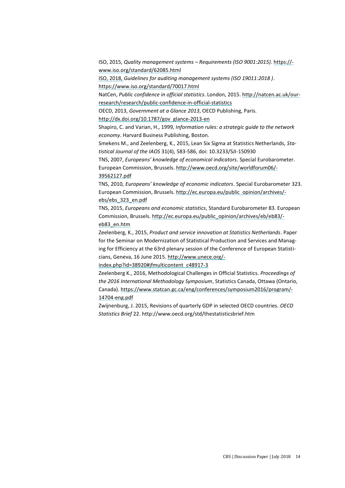ISO, 2015, *Quality management systems – Requirements (ISO 9001:2015)*. [https://](https://www.iso.org/standard/62085.html) [www.iso.org/standard/62085.html](https://www.iso.org/standard/62085.html)

ISO, 2018, *Guidelines for auditing management systems (ISO 19011:2018 )*. <https://www.iso.org/standard/70017.html>

NatCen, *Public confidence in official statistics*. London, 2015[. http://natcen.ac.uk/our](http://natcen.ac.uk/our-research/research/public-confidence-in-official-statistics)[research/research/public-confidence-in-official-statistics](http://natcen.ac.uk/our-research/research/public-confidence-in-official-statistics)

OECD, 2013, *Government at a Glance 2013*, OECD Publishing, Paris.

[http://dx.doi.org/10.1787/gov\\_glance-2013-en](http://dx.doi.org/10.1787/gov_glance-2013-en)

Shapiro, C. and Varian, H., 1999*, Information rules: a strategic guide to the network economy*. Harvard Business Publishing, Boston.

Smekens M., and Zeelenberg, K., 2015, Lean Six Sigma at Statistics Netherlands, *Statistical Journal of the IAOS* 31(4), 583-586, doi: 10.3233/SJI-150930

TNS, 2007, *Europeans' knowledge of economical indicators*. Special Eurobarometer. European Commission, Brussels. [http://www.oecd.org/site/worldforum06/-](http://www.oecd.org/site/worldforum06/39562127.pdf) [39562127.pdf](http://www.oecd.org/site/worldforum06/39562127.pdf)

TNS, 2010, *Europeans' knowledge of economic indicators*. Special Eurobarometer 323. European Commission, Brussels. [http://ec.europa.eu/public\\_opinion/archives/](http://ec.europa.eu/public_opinion/archives/ebs/ebs_323_en.pdf) [ebs/ebs\\_323\\_en.pdf](http://ec.europa.eu/public_opinion/archives/ebs/ebs_323_en.pdf)

TNS, 2015, *Europeans and economic statistics*, Standard Eurobarometer 83. European Commission, Brussels. [http://ec.europa.eu/public\\_opinion/archives/eb/eb83/](http://ec.europa.eu/public_opinion/archives/eb/eb83/eb83_en.htm) [eb83\\_en.htm](http://ec.europa.eu/public_opinion/archives/eb/eb83/eb83_en.htm)

Zeelenberg, K., 2015, *Product and service innovation at Statistics Netherlands*. Paper for the Seminar on Modernization of Statistical Production and Services and Managing for Efficiency at the 63rd plenary session of the Conference of European Statisticians, Geneva, 16 June 2015. [http://www.unece.org/-](http://www.unece.org/index.php?id=38920#jfmulticontent_c48917-3)

[index.php?id=38920#jfmulticontent\\_c48917-3](http://www.unece.org/index.php?id=38920#jfmulticontent_c48917-3)

Zeelenberg K., 2016, Methodological Challenges in Official Statistics. *Proceedings of the 2016 International Methodology Symposium*, Statistics Canada, Ottawa (Ontario, Canada). [https://www.statcan.gc.ca/eng/conferences/symposium2016/program/-](https://www.statcan.gc.ca/eng/conferences/symposium2016/program/14704-eng.pdf) [14704-eng.pdf](https://www.statcan.gc.ca/eng/conferences/symposium2016/program/14704-eng.pdf)

Zwijnenburg, J. 2015, Revisions of quarterly GDP in selected OECD countries. *OECD Statistics Brief* 22. http://www.oecd.org/std/thestatisticsbrief.htm